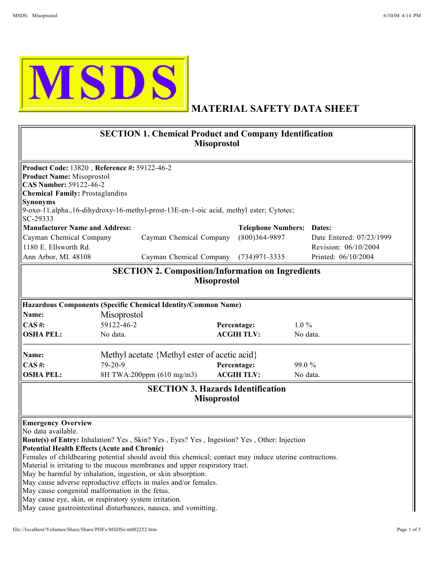

## MATERIAL SAFETY DATA SHEET

| <b>SECTION 1. Chemical Product and Company Identification</b><br><b>Misoprostol</b>                                                                                                                                                                                                                                                                                                                                                                                                                                                                                                                                                                                                                                     |                                                                                                                                                                                              |  |                                                                          |          |                                                                         |  |  |  |
|-------------------------------------------------------------------------------------------------------------------------------------------------------------------------------------------------------------------------------------------------------------------------------------------------------------------------------------------------------------------------------------------------------------------------------------------------------------------------------------------------------------------------------------------------------------------------------------------------------------------------------------------------------------------------------------------------------------------------|----------------------------------------------------------------------------------------------------------------------------------------------------------------------------------------------|--|--------------------------------------------------------------------------|----------|-------------------------------------------------------------------------|--|--|--|
| <b>Product Name: Misoprostol</b><br>CAS Number: 59122-46-2<br><b>Chemical Family: Prostaglandins</b><br>Synonyms<br>SC-29333<br><b>Manufacturer Name and Address:</b><br>Cayman Chemical Company<br>1180 E. Ellsworth Rd.<br>Ann Arbor, MI. 48108                                                                                                                                                                                                                                                                                                                                                                                                                                                                       | Product Code: 13820, Reference #: 59122-46-2<br>9-oxo-11.alpha.,16-dihydroxy-16-methyl-prost-13E-en-1-oic acid, methyl ester; Cytotec;<br>Cayman Chemical Company<br>Cayman Chemical Company |  | <b>Telephone Numbers: Dates:</b><br>$(800)364-9897$<br>$(734)971 - 3335$ |          | Date Entered: 07/23/1999<br>Revision: 06/10/2004<br>Printed: 06/10/2004 |  |  |  |
|                                                                                                                                                                                                                                                                                                                                                                                                                                                                                                                                                                                                                                                                                                                         | <b>SECTION 2. Composition/Information on Ingredients</b>                                                                                                                                     |  |                                                                          |          |                                                                         |  |  |  |
| <b>Misoprostol</b>                                                                                                                                                                                                                                                                                                                                                                                                                                                                                                                                                                                                                                                                                                      |                                                                                                                                                                                              |  |                                                                          |          |                                                                         |  |  |  |
|                                                                                                                                                                                                                                                                                                                                                                                                                                                                                                                                                                                                                                                                                                                         | Hazardous Components (Specific Chemical Identity/Common Name)                                                                                                                                |  |                                                                          |          |                                                                         |  |  |  |
| Name:                                                                                                                                                                                                                                                                                                                                                                                                                                                                                                                                                                                                                                                                                                                   | <b>Misoprostol</b>                                                                                                                                                                           |  |                                                                          |          |                                                                         |  |  |  |
| $CAS$ #:                                                                                                                                                                                                                                                                                                                                                                                                                                                                                                                                                                                                                                                                                                                | 59122-46-2                                                                                                                                                                                   |  | Percentage:                                                              | $1.0\%$  |                                                                         |  |  |  |
| <b>OSHA PEL:</b>                                                                                                                                                                                                                                                                                                                                                                                                                                                                                                                                                                                                                                                                                                        | No data.                                                                                                                                                                                     |  | <b>ACGIH TLV:</b>                                                        | No data. |                                                                         |  |  |  |
| Name:                                                                                                                                                                                                                                                                                                                                                                                                                                                                                                                                                                                                                                                                                                                   | Methyl acetate {Methyl ester of acetic acid}                                                                                                                                                 |  |                                                                          |          |                                                                         |  |  |  |
| $CAS$ #:                                                                                                                                                                                                                                                                                                                                                                                                                                                                                                                                                                                                                                                                                                                | $79 - 20 - 9$                                                                                                                                                                                |  | Percentage:<br>99.0 %                                                    |          |                                                                         |  |  |  |
| <b>OSHA PEL:</b>                                                                                                                                                                                                                                                                                                                                                                                                                                                                                                                                                                                                                                                                                                        | 8H TWA:200ppm (610 mg/m3)                                                                                                                                                                    |  | <b>ACGIHTLV:</b>                                                         | No data. |                                                                         |  |  |  |
| <b>SECTION 3. Hazards Identification</b><br><b>Misoprostol</b>                                                                                                                                                                                                                                                                                                                                                                                                                                                                                                                                                                                                                                                          |                                                                                                                                                                                              |  |                                                                          |          |                                                                         |  |  |  |
| <b>Emergency Overview</b><br>No data available.<br><b>Route(s) of Entry:</b> Inhalation? Yes, Skin? Yes, Eyes? Yes, Ingestion? Yes, Other: Injection<br><b>Potential Health Effects (Acute and Chronic)</b><br>Females of childbearing potential should avoid this chemical; contact may induce uterine contractions.<br>Material is irritating to the mucous membranes and upper respiratory tract.<br>May be harmful by inhalation, ingestion, or skin absorption.<br>May cause adverse reproductive effects in males and/or females.<br>May cause congenital malformation in the fetus.<br>May cause eye, skin, or respiratory system irritation.<br>May cause gastrointestinal disturbances, nausea, and vomitting. |                                                                                                                                                                                              |  |                                                                          |          |                                                                         |  |  |  |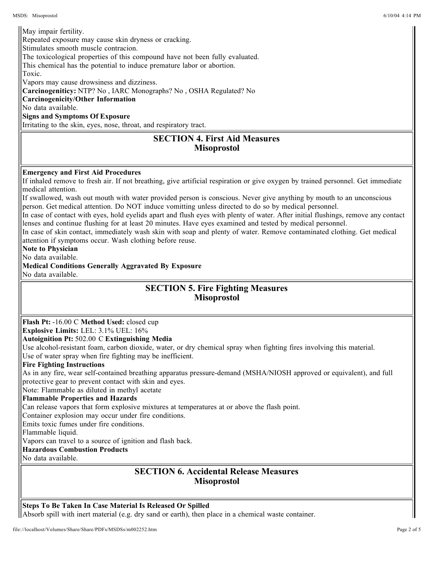Absorb spill with inert material (e.g. dry sand or earth), then place in a chemical waste container. Steps To Be Taken In Case Material Is Released Or Spilled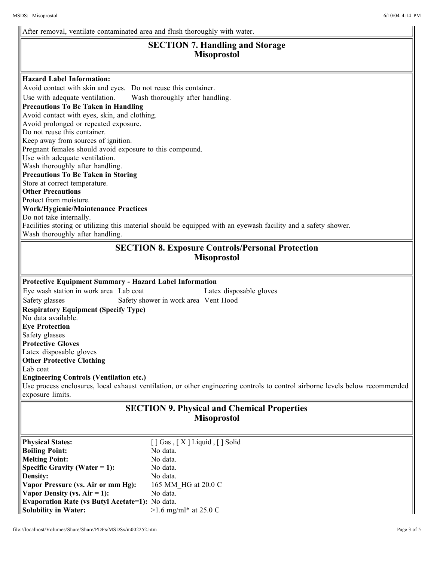Solution in Water:  $\frac{1}{2}$ . The 25.0 cm minimal at 25.0 cm minimal at 25.0 cm minimal at 25.0 cm minimal at 25.0 cm minimal at 25.0 cm minimal at 25.0 cm minimal at 25.0 cm minimal at 25.0 cm minimal at 25.0 cm minimal a